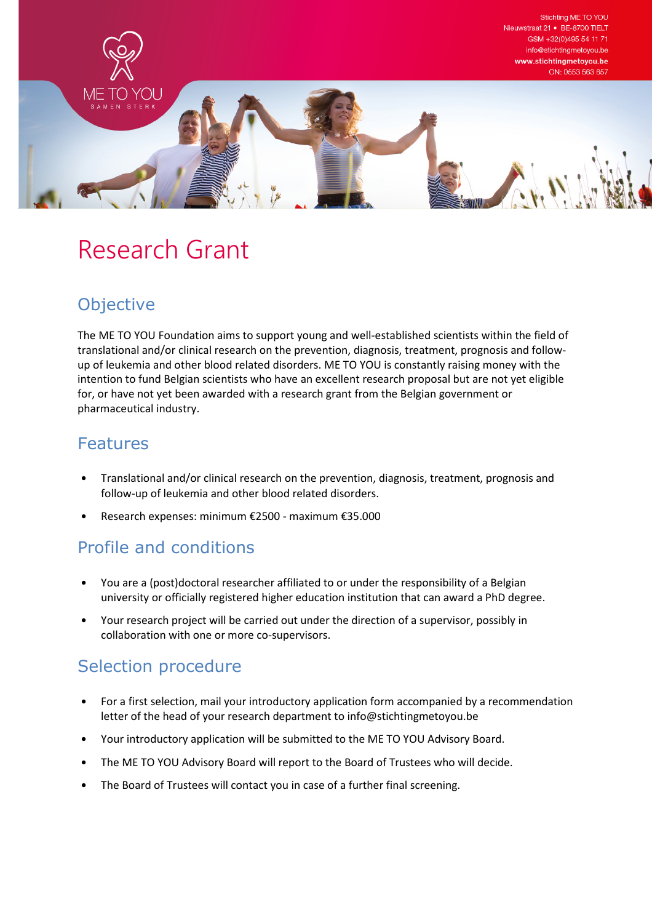

# Research Grant

## **Objective**

The ME TO YOU Foundation aims to support young and well-established scientists within the field of translational and/or clinical research on the prevention, diagnosis, treatment, prognosis and followup of leukemia and other blood related disorders. ME TO YOU is constantly raising money with the intention to fund Belgian scientists who have an excellent research proposal but are not yet eligible for, or have not yet been awarded with a research grant from the Belgian government or pharmaceutical industry.

#### Features

- Translational and/or clinical research on the prevention, diagnosis, treatment, prognosis and follow-up of leukemia and other blood related disorders.
- Research expenses: minimum €2500 maximum €35.000

# Profile and conditions

- You are a (post)doctoral researcher affiliated to or under the responsibility of a Belgian university or officially registered higher education institution that can award a PhD degree.
- Your research project will be carried out under the direction of a supervisor, possibly in collaboration with one or more co-supervisors.

### Selection procedure

- For a first selection, mail your introductory application form accompanied by a recommendation letter of the head of your research department to info@stichtingmetoyou.be
- Your introductory application will be submitted to the ME TO YOU Advisory Board.
- The ME TO YOU Advisory Board will report to the Board of Trustees who will decide.
- The Board of Trustees will contact you in case of a further final screening.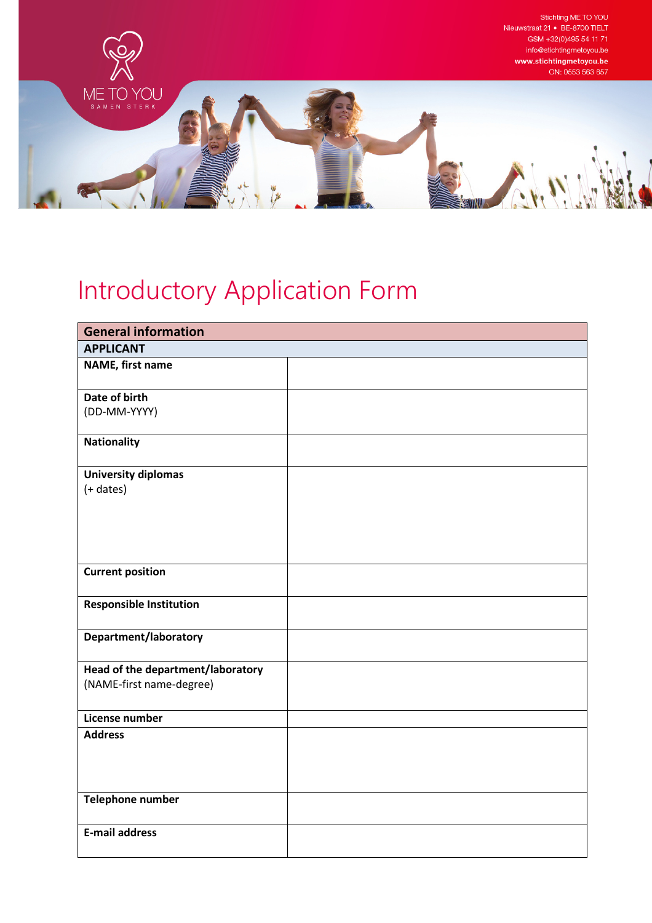

# Introductory Application Form

| <b>General information</b>        |  |  |
|-----------------------------------|--|--|
| <b>APPLICANT</b>                  |  |  |
| NAME, first name                  |  |  |
| Date of birth                     |  |  |
| (DD-MM-YYYY)                      |  |  |
| <b>Nationality</b>                |  |  |
| <b>University diplomas</b>        |  |  |
| $(+$ dates)                       |  |  |
|                                   |  |  |
|                                   |  |  |
|                                   |  |  |
|                                   |  |  |
| <b>Current position</b>           |  |  |
| <b>Responsible Institution</b>    |  |  |
|                                   |  |  |
| Department/laboratory             |  |  |
| Head of the department/laboratory |  |  |
| (NAME-first name-degree)          |  |  |
|                                   |  |  |
| License number                    |  |  |
| <b>Address</b>                    |  |  |
|                                   |  |  |
|                                   |  |  |
|                                   |  |  |
| Telephone number                  |  |  |
| <b>E-mail address</b>             |  |  |
|                                   |  |  |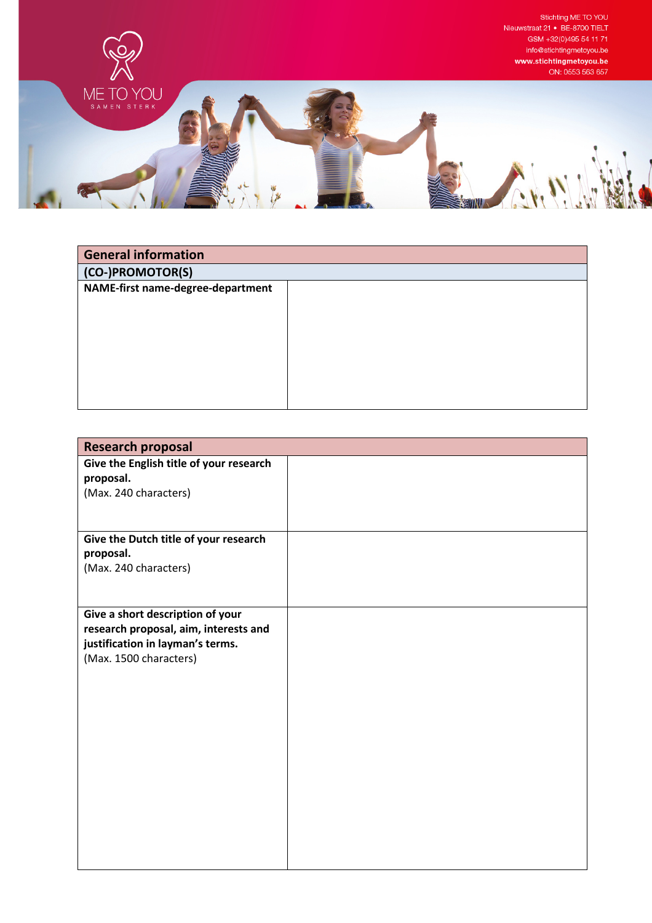

| <b>General information</b>        |  |
|-----------------------------------|--|
| (CO-)PROMOTOR(S)                  |  |
| NAME-first name-degree-department |  |
|                                   |  |
|                                   |  |
|                                   |  |
|                                   |  |
|                                   |  |
|                                   |  |
|                                   |  |

| <b>Research proposal</b>                                                                                                                |  |
|-----------------------------------------------------------------------------------------------------------------------------------------|--|
| Give the English title of your research<br>proposal.<br>(Max. 240 characters)                                                           |  |
| Give the Dutch title of your research<br>proposal.<br>(Max. 240 characters)                                                             |  |
| Give a short description of your<br>research proposal, aim, interests and<br>justification in layman's terms.<br>(Max. 1500 characters) |  |